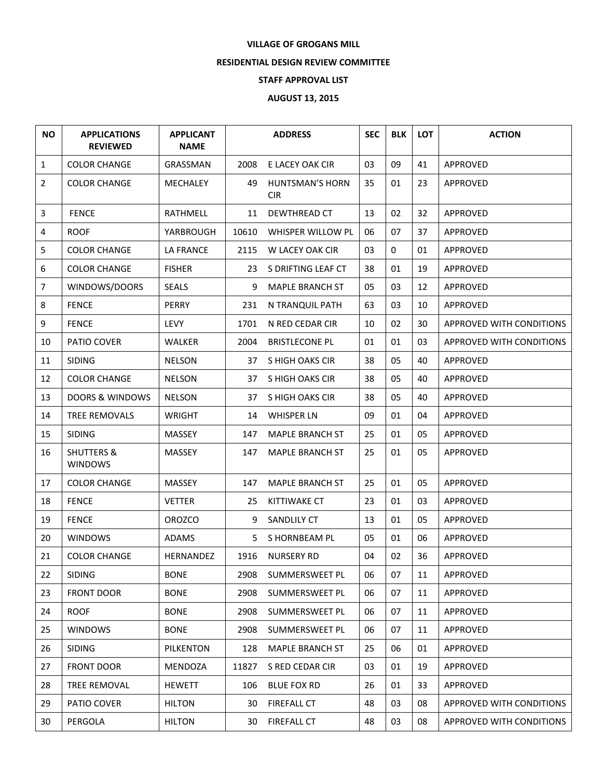## **VILLAGE OF GROGANS MILL**

## **RESIDENTIAL DESIGN REVIEW COMMITTEE**

## **STAFF APPROVAL LIST**

## **AUGUST 13, 2015**

| <b>NO</b>        | <b>APPLICATIONS</b><br><b>REVIEWED</b>  | <b>APPLICANT</b><br><b>NAME</b> |       | <b>ADDRESS</b>                       | <b>SEC</b> | <b>BLK</b> | LOT | <b>ACTION</b>            |
|------------------|-----------------------------------------|---------------------------------|-------|--------------------------------------|------------|------------|-----|--------------------------|
| $\mathbf{1}$     | <b>COLOR CHANGE</b>                     | GRASSMAN                        | 2008  | E LACEY OAK CIR                      | 03         | 09         | 41  | APPROVED                 |
| $\overline{2}$   | <b>COLOR CHANGE</b>                     | MECHALEY                        | 49    | <b>HUNTSMAN'S HORN</b><br><b>CIR</b> | 35         | 01         | 23  | APPROVED                 |
| $\mathbf{3}$     | <b>FENCE</b>                            | <b>RATHMELL</b>                 | 11    | DEWTHREAD CT                         | 13         | 02         | 32  | APPROVED                 |
| 4                | <b>ROOF</b>                             | YARBROUGH                       | 10610 | WHISPER WILLOW PL                    | 06         | 07         | 37  | APPROVED                 |
| 5                | <b>COLOR CHANGE</b>                     | <b>LA FRANCE</b>                | 2115  | W LACEY OAK CIR                      | 03         | 0          | 01  | APPROVED                 |
| 6                | <b>COLOR CHANGE</b>                     | <b>FISHER</b>                   | 23    | S DRIFTING LEAF CT                   | 38         | 01         | 19  | APPROVED                 |
| $\overline{7}$   | WINDOWS/DOORS                           | <b>SEALS</b>                    | 9     | <b>MAPLE BRANCH ST</b>               | 05         | 03         | 12  | APPROVED                 |
| 8                | <b>FENCE</b>                            | PERRY                           | 231   | N TRANQUIL PATH                      | 63         | 03         | 10  | APPROVED                 |
| $\boldsymbol{9}$ | <b>FENCE</b>                            | <b>LEVY</b>                     | 1701  | N RED CEDAR CIR                      | 10         | 02         | 30  | APPROVED WITH CONDITIONS |
| 10               | PATIO COVER                             | WALKER                          | 2004  | <b>BRISTLECONE PL</b>                | 01         | 01         | 03  | APPROVED WITH CONDITIONS |
| 11               | <b>SIDING</b>                           | <b>NELSON</b>                   | 37    | S HIGH OAKS CIR                      | 38         | 05         | 40  | APPROVED                 |
| 12               | <b>COLOR CHANGE</b>                     | <b>NELSON</b>                   | 37    | S HIGH OAKS CIR                      | 38         | 05         | 40  | APPROVED                 |
| 13               | <b>DOORS &amp; WINDOWS</b>              | <b>NELSON</b>                   | 37    | S HIGH OAKS CIR                      | 38         | 05         | 40  | APPROVED                 |
| 14               | <b>TREE REMOVALS</b>                    | <b>WRIGHT</b>                   | 14    | <b>WHISPER LN</b>                    | 09         | 01         | 04  | APPROVED                 |
| 15               | <b>SIDING</b>                           | MASSEY                          | 147   | <b>MAPLE BRANCH ST</b>               | 25         | 01         | 05  | APPROVED                 |
| 16               | <b>SHUTTERS &amp;</b><br><b>WINDOWS</b> | MASSEY                          | 147   | <b>MAPLE BRANCH ST</b>               | 25         | 01         | 05  | APPROVED                 |
| 17               | <b>COLOR CHANGE</b>                     | <b>MASSEY</b>                   | 147   | <b>MAPLE BRANCH ST</b>               | 25         | 01         | 05  | APPROVED                 |
| 18               | <b>FENCE</b>                            | <b>VETTER</b>                   | 25    | KITTIWAKE CT                         | 23         | 01         | 03  | APPROVED                 |
| 19               | <b>FENCE</b>                            | <b>OROZCO</b>                   | 9     | SANDLILY CT                          | 13         | 01         | 05  | APPROVED                 |
| 20               | <b>WINDOWS</b>                          | <b>ADAMS</b>                    | 5.    | S HORNBEAM PL                        | 05         | 01         | 06  | <b>APPROVED</b>          |
| 21               | <b>COLOR CHANGE</b>                     | HERNANDEZ                       | 1916  | <b>NURSERY RD</b>                    | 04         | 02         | 36  | APPROVED                 |
| 22               | <b>SIDING</b>                           | <b>BONE</b>                     | 2908  | SUMMERSWEET PL                       | 06         | 07         | 11  | APPROVED                 |
| 23               | <b>FRONT DOOR</b>                       | <b>BONE</b>                     | 2908  | SUMMERSWEET PL                       | 06         | 07         | 11  | APPROVED                 |
| 24               | <b>ROOF</b>                             | <b>BONE</b>                     | 2908  | SUMMERSWEET PL                       | 06         | 07         | 11  | APPROVED                 |
| 25               | <b>WINDOWS</b>                          | <b>BONE</b>                     | 2908  | SUMMERSWEET PL                       | 06         | 07         | 11  | APPROVED                 |
| 26               | <b>SIDING</b>                           | PILKENTON                       | 128   | <b>MAPLE BRANCH ST</b>               | 25         | 06         | 01  | <b>APPROVED</b>          |
| 27               | <b>FRONT DOOR</b>                       | MENDOZA                         | 11827 | S RED CEDAR CIR                      | 03         | 01         | 19  | APPROVED                 |
| 28               | <b>TREE REMOVAL</b>                     | <b>HEWETT</b>                   | 106   | <b>BLUE FOX RD</b>                   | 26         | 01         | 33  | APPROVED                 |
| 29               | PATIO COVER                             | <b>HILTON</b>                   | 30    | FIREFALL CT                          | 48         | 03         | 08  | APPROVED WITH CONDITIONS |
| 30               | PERGOLA                                 | <b>HILTON</b>                   | 30    | FIREFALL CT                          | 48         | 03         | 08  | APPROVED WITH CONDITIONS |